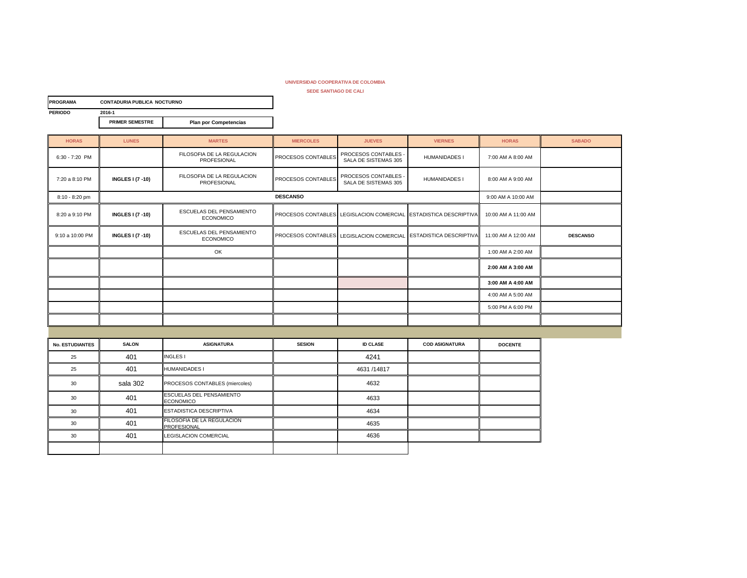**SEDE SANTIAGO DE CALI**

| <b>PROGRAMA</b>        | CONTADURIA PUBLICA NOCTURNO |                                              |                    |                                              |                                               |                     |                 |
|------------------------|-----------------------------|----------------------------------------------|--------------------|----------------------------------------------|-----------------------------------------------|---------------------|-----------------|
| <b>PERIODO</b>         | 2016-1                      |                                              |                    |                                              |                                               |                     |                 |
|                        | PRIMER SEMESTRE             | <b>Plan por Competencias</b>                 |                    |                                              |                                               |                     |                 |
| <b>HORAS</b>           | <b>LUNES</b>                | <b>MARTES</b>                                | <b>MIERCOLES</b>   | <b>JUEVES</b>                                | <b>VIERNES</b>                                | <b>HORAS</b>        | <b>SABADO</b>   |
| 6:30 - 7:20 PM         |                             | FILOSOFIA DE LA REGULACION<br>PROFESIONAL    | PROCESOS CONTABLES | PROCESOS CONTABLES -<br>SALA DE SISTEMAS 305 | <b>HUMANIDADES I</b>                          | 7:00 AM A 8:00 AM   |                 |
| 7:20 a 8:10 PM         | <b>INGLES I (7 -10)</b>     | FILOSOFIA DE LA REGULACION<br>PROFESIONAL    | PROCESOS CONTABLES | PROCESOS CONTABLES -<br>SALA DE SISTEMAS 305 | <b>HUMANIDADES I</b>                          | 8:00 AM A 9:00 AM   |                 |
| 8:10 - 8:20 pm         |                             |                                              | <b>DESCANSO</b>    |                                              |                                               | 9:00 AM A 10:00 AM  |                 |
| 8:20 a 9:10 PM         | <b>INGLES I (7 -10)</b>     | ESCUELAS DEL PENSAMIENTO<br><b>ECONOMICO</b> | PROCESOS CONTABLES |                                              | LEGISLACION COMERCIAL ESTADISTICA DESCRIPTIVA | 10:00 AM A 11:00 AM |                 |
| 9:10 a 10:00 PM        | <b>INGLES I (7 -10)</b>     | ESCUELAS DEL PENSAMIENTO<br><b>ECONOMICO</b> | PROCESOS CONTABLES |                                              | LEGISLACION COMERCIAL ESTADISTICA DESCRIPTIVA | 11:00 AM A 12:00 AM | <b>DESCANSO</b> |
|                        |                             | OK                                           |                    |                                              |                                               | 1:00 AM A 2:00 AM   |                 |
|                        |                             |                                              |                    |                                              |                                               | 2:00 AM A 3:00 AM   |                 |
|                        |                             |                                              |                    |                                              |                                               | 3:00 AM A 4:00 AM   |                 |
|                        |                             |                                              |                    |                                              |                                               | 4:00 AM A 5:00 AM   |                 |
|                        |                             |                                              |                    |                                              |                                               | 5:00 PM A 6:00 PM   |                 |
|                        |                             |                                              |                    |                                              |                                               |                     |                 |
|                        |                             |                                              |                    |                                              |                                               |                     |                 |
| <b>No. ESTUDIANTES</b> | <b>SALON</b>                | <b>ASIGNATURA</b>                            | <b>SESION</b>      | <b>ID CLASE</b>                              | <b>COD ASIGNATURA</b>                         | <b>DOCENTE</b>      |                 |
| 25                     | 401                         | <b>INGLES I</b>                              |                    | 4241                                         |                                               |                     |                 |
| 25                     | 401                         | <b>HUMANIDADES I</b>                         |                    | 4631 /14817                                  |                                               |                     |                 |
| 30                     | sala 302                    | PROCESOS CONTABLES (miercoles)               |                    | 4632                                         |                                               |                     |                 |
| 30                     | 401                         | ESCUELAS DEL PENSAMIENTO<br><b>ECONOMICO</b> |                    | 4633                                         |                                               |                     |                 |
| 30                     | 401                         | ESTADISTICA DESCRIPTIVA                      |                    | 4634                                         |                                               |                     |                 |
| 30                     | 401                         | FILOSOFIA DE LA REGULACION<br>PROFESIONAL    |                    | 4635                                         |                                               |                     |                 |
| 30                     | 401                         | LEGISLACION COMERCIAL                        |                    | 4636                                         |                                               |                     |                 |
|                        |                             |                                              |                    |                                              |                                               |                     |                 |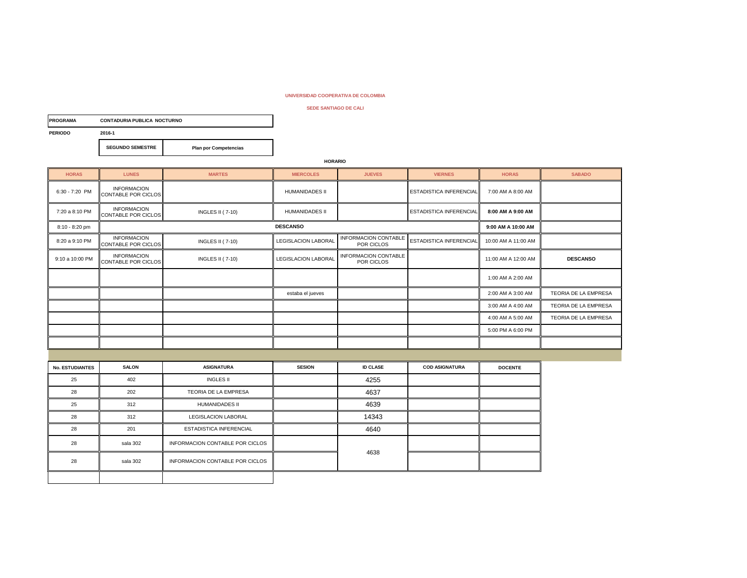**SEDE SANTIAGO DE CALI**

| <b>PROGRAMA</b> | <b>CONTADURIA PUBLICA NOCTURNO</b> |                              |  |  |  |
|-----------------|------------------------------------|------------------------------|--|--|--|
| <b>PERIODO</b>  | 2016-1                             |                              |  |  |  |
|                 | <b>SEGUNDO SEMESTRE</b>            | <b>Plan por Competencias</b> |  |  |  |

**HORARIO**

| <b>HORAS</b>           | <b>LUNES</b>                              | <b>MARTES</b>                   | <b>MIERCOLES</b>           | <b>JUEVES</b>                      | <b>VIERNES</b>          | <b>HORAS</b>        | <b>SABADO</b>        |
|------------------------|-------------------------------------------|---------------------------------|----------------------------|------------------------------------|-------------------------|---------------------|----------------------|
| 6:30 - 7:20 PM         | <b>INFORMACION</b><br>CONTABLE POR CICLOS |                                 | <b>HUMANIDADES II</b>      |                                    | ESTADISTICA INFERENCIAL | 7:00 AM A 8:00 AM   |                      |
| 7:20 a 8:10 PM         | <b>INFORMACION</b><br>CONTABLE POR CICLOS | <b>INGLES II (7-10)</b>         | <b>HUMANIDADES II</b>      |                                    | ESTADISTICA INFERENCIAL | 8:00 AM A 9:00 AM   |                      |
| 8:10 - 8:20 pm         |                                           |                                 | <b>DESCANSO</b>            |                                    |                         | 9:00 AM A 10:00 AM  |                      |
| 8:20 a 9:10 PM         | <b>INFORMACION</b><br>CONTABLE POR CICLOS | <b>INGLES II (7-10)</b>         | <b>LEGISLACION LABORAL</b> | INFORMACION CONTABLE<br>POR CICLOS | ESTADISTICA INFERENCIAL | 10:00 AM A 11:00 AM |                      |
| 9:10 a 10:00 PM        | <b>INFORMACION</b><br>CONTABLE POR CICLOS | <b>INGLES II (7-10)</b>         | <b>LEGISLACION LABORAL</b> | INFORMACION CONTABLE<br>POR CICLOS |                         | 11:00 AM A 12:00 AM | <b>DESCANSO</b>      |
|                        |                                           |                                 |                            |                                    |                         | 1:00 AM A 2:00 AM   |                      |
|                        |                                           |                                 | estaba el jueves           |                                    |                         | 2:00 AM A 3:00 AM   | TEORIA DE LA EMPRESA |
|                        |                                           |                                 |                            |                                    |                         | 3:00 AM A 4:00 AM   | TEORIA DE LA EMPRESA |
|                        |                                           |                                 |                            |                                    |                         | 4:00 AM A 5:00 AM   | TEORIA DE LA EMPRESA |
|                        |                                           |                                 |                            |                                    |                         | 5:00 PM A 6:00 PM   |                      |
|                        |                                           |                                 |                            |                                    |                         |                     |                      |
|                        |                                           |                                 |                            |                                    |                         |                     |                      |
| <b>No. ESTUDIANTES</b> | <b>SALON</b>                              | <b>ASIGNATURA</b>               | <b>SESION</b>              | <b>ID CLASE</b>                    | <b>COD ASIGNATURA</b>   | <b>DOCENTE</b>      |                      |
| 25                     | 402                                       | <b>INGLES II</b>                |                            | 4255                               |                         |                     |                      |
| 28                     | 202                                       | TEORIA DE LA EMPRESA            |                            | 4637                               |                         |                     |                      |
| 25                     | 312                                       | <b>HUMANIDADES II</b>           |                            | 4639                               |                         |                     |                      |
| 28                     | 312                                       | <b>LEGISLACION LABORAL</b>      |                            | 14343                              |                         |                     |                      |
| 28                     | 201                                       | ESTADISTICA INFERENCIAL         |                            | 4640                               |                         |                     |                      |
| 28                     | sala 302                                  | INFORMACION CONTABLE POR CICLOS |                            | 4638                               |                         |                     |                      |
| 28                     | sala 302                                  | INFORMACION CONTABLE POR CICLOS |                            |                                    |                         |                     |                      |
|                        |                                           |                                 |                            |                                    |                         |                     |                      |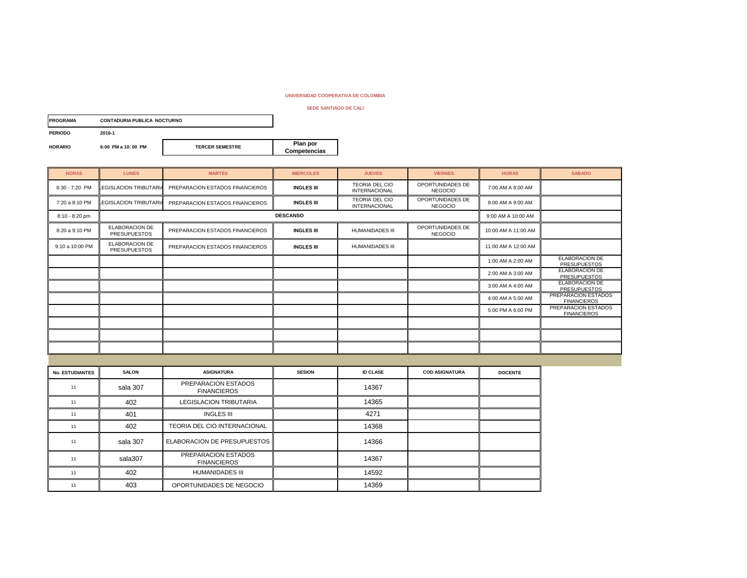**SEDE SANTIAGO DE CALI**

| <b>PROGRAMA</b> | <b>CONTADURIA PUBLICA NOCTURNO</b> |                        |                          |
|-----------------|------------------------------------|------------------------|--------------------------|
| <b>PERIODO</b>  | 2016-1                             |                        |                          |
| <b>HORARIO</b>  | 6:00 PM a 10:00 PM                 | <b>TERCER SEMESTRE</b> | Plan por<br>Competencias |

| <b>HORAS</b>    | <b>LUNES</b>                                 | <b>MARTES</b>                   | <b>MIERCOLES</b>  | <b>JUEVES</b>                          | <b>VIERNES</b>                     | <b>HORAS</b>        | <b>SABADO</b>                                |
|-----------------|----------------------------------------------|---------------------------------|-------------------|----------------------------------------|------------------------------------|---------------------|----------------------------------------------|
| 6:30 - 7:20 PM  | <b>EGISLACION TRIBUTARIA</b>                 | PREPARACION ESTADOS FINANCIEROS | <b>INGLES III</b> | TEORIA DEL CIO<br><b>INTERNACIONAL</b> | OPORTUNIDADES DE<br><b>NEGOCIO</b> | 7:00 AM A 8:00 AM   |                                              |
| 7:20 a 8:10 PM  | <b>LEGISLACION TRIBUTARIA</b>                | PREPARACION ESTADOS FINANCIEROS | <b>INGLES III</b> | TEORIA DEL CIO<br><b>INTERNACIONAL</b> | OPORTUNIDADES DE<br><b>NEGOCIO</b> | 8:00 AM A 9:00 AM   |                                              |
| 8:10 - 8:20 pm  |                                              |                                 | <b>DESCANSO</b>   |                                        |                                    | 9:00 AM A 10:00 AM  |                                              |
| 8:20 a 9:10 PM  | ELABORACION DE<br><b>PRESUPUESTOS</b>        | PREPARACION ESTADOS FINANCIEROS | <b>INGLES III</b> | <b>HUMANIDADES III</b>                 | OPORTUNIDADES DE<br><b>NEGOCIO</b> | 10:00 AM A 11:00 AM |                                              |
| 9:10 a 10:00 PM | <b>ELABORACION DE</b><br><b>PRESUPUESTOS</b> | PREPARACION ESTADOS FINANCIEROS | <b>INGLES III</b> | <b>HUMANIDADES III</b>                 |                                    | 11:00 AM A 12:00 AM |                                              |
|                 |                                              |                                 |                   |                                        |                                    | 1:00 AM A 2:00 AM   | <b>ELABORACION DE</b><br><b>PRESUPUESTOS</b> |
|                 |                                              |                                 |                   |                                        |                                    | 2:00 AM A 3:00 AM   | <b>ELABORACION DE</b><br><b>PRESUPUESTOS</b> |
|                 |                                              |                                 |                   |                                        |                                    | 3:00 AM A 4:00 AM   | <b>ELABORACION DE</b><br><b>PRESUPUESTOS</b> |
|                 |                                              |                                 |                   |                                        |                                    | 4:00 AM A 5:00 AM   | PREPARACION ESTADOS<br><b>FINANCIEROS</b>    |
|                 |                                              |                                 |                   |                                        |                                    | 5:00 PM A 6:00 PM   | PREPARACION ESTADOS<br><b>FINANCIEROS</b>    |
|                 |                                              |                                 |                   |                                        |                                    |                     |                                              |
|                 |                                              |                                 |                   |                                        |                                    |                     |                                              |
|                 |                                              |                                 |                   |                                        |                                    |                     |                                              |
|                 |                                              |                                 |                   |                                        |                                    |                     |                                              |

| <b>No. ESTUDIANTES</b> | <b>SALON</b> | <b>ASIGNATURA</b>                         | <b>SESION</b> | <b>ID CLASE</b> | <b>COD ASIGNATURA</b> | <b>DOCENTE</b> |
|------------------------|--------------|-------------------------------------------|---------------|-----------------|-----------------------|----------------|
| 11                     | sala 307     | PREPARACION ESTADOS<br><b>FINANCIEROS</b> |               | 14367           |                       |                |
| 11                     | 402          | <b>LEGISLACION TRIBUTARIA</b>             |               | 14365           |                       |                |
| 11                     | 401          | <b>INGLES III</b>                         |               | 4271            |                       |                |
| 11                     | 402          | TEORIA DEL CIO INTERNACIONAL              |               | 14368           |                       |                |
| 11                     | sala 307     | ELABORACION DE PRESUPUESTOS               |               | 14366           |                       |                |
| 11                     | sala307      | PREPARACION ESTADOS<br><b>FINANCIEROS</b> |               | 14367           |                       |                |
| 11                     | 402          | <b>HUMANIDADES III</b>                    |               | 14592           |                       |                |
| 11                     | 403          | OPORTUNIDADES DE NEGOCIO                  |               | 14369           |                       |                |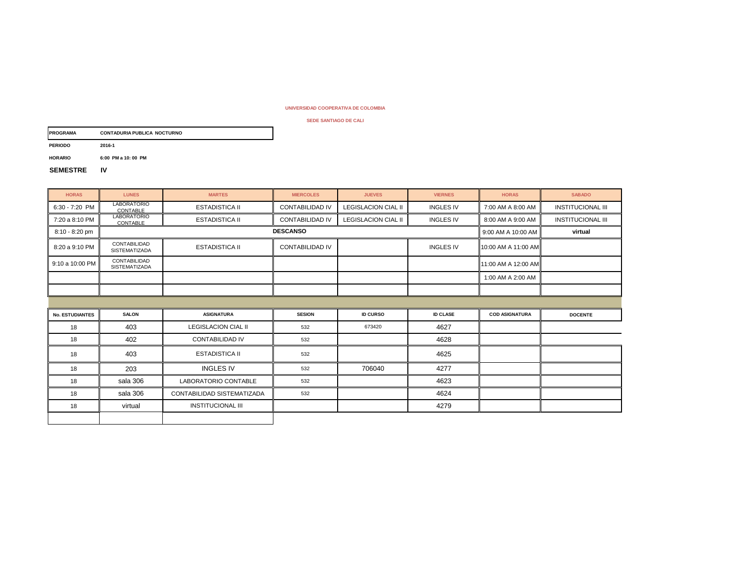## **SEDE SANTIAGO DE CALI**

| <b>PROGRAMA</b> | <b>CONTADURIA PUBLICA NOCTURNO</b> |
|-----------------|------------------------------------|
| <b>PERIODO</b>  | 2016-1                             |
| <b>HORARIO</b>  | 6:00 PM a 10:00 PM                 |

# **SEMESTRE IV**

| <b>HORAS</b>           | <b>LUNES</b>                         | <b>MARTES</b>              | <b>MIERCOLES</b>       | <b>JUEVES</b>              | <b>VIERNES</b>   | <b>HORAS</b>          | <b>SABADO</b>            |
|------------------------|--------------------------------------|----------------------------|------------------------|----------------------------|------------------|-----------------------|--------------------------|
| $6:30 - 7:20$ PM       | <b>LABORATORIO</b><br>CONTABLE       | <b>ESTADISTICA II</b>      | <b>CONTABILIDAD IV</b> | <b>LEGISLACION CIAL II</b> | <b>INGLES IV</b> | 7:00 AM A 8:00 AM     | <b>INSTITUCIONAL III</b> |
| 7:20 a 8:10 PM         | <b>LABORATORIO</b><br>CONTABLE       | <b>ESTADISTICA II</b>      | <b>CONTABILIDAD IV</b> | <b>LEGISLACION CIAL II</b> | <b>INGLES IV</b> | 8:00 AM A 9:00 AM     | <b>INSTITUCIONAL III</b> |
| 8:10 - 8:20 pm         |                                      |                            | <b>DESCANSO</b>        |                            |                  | 9:00 AM A 10:00 AM    | virtual                  |
| 8:20 a 9:10 PM         | CONTABILIDAD<br><b>SISTEMATIZADA</b> | <b>ESTADISTICA II</b>      | <b>CONTABILIDAD IV</b> |                            | <b>INGLES IV</b> | 10:00 AM A 11:00 AM   |                          |
| 9:10 a 10:00 PM        | CONTABILIDAD<br><b>SISTEMATIZADA</b> |                            |                        |                            |                  | 11:00 AM A 12:00 AM   |                          |
|                        |                                      |                            |                        |                            |                  | 1:00 AM A 2:00 AM     |                          |
|                        |                                      |                            |                        |                            |                  |                       |                          |
|                        |                                      |                            |                        |                            |                  |                       |                          |
| <b>No. ESTUDIANTES</b> | <b>SALON</b>                         | <b>ASIGNATURA</b>          | <b>SESION</b>          | <b>ID CURSO</b>            | <b>ID CLASE</b>  | <b>COD ASIGNATURA</b> | <b>DOCENTE</b>           |
| 18                     | 403                                  | <b>LEGISLACION CIAL II</b> | 532                    | 673420                     | 4627             |                       |                          |
| 18                     | 402                                  | <b>CONTABILIDAD IV</b>     | 532                    |                            | 4628             |                       |                          |
| 18                     | 403                                  | <b>ESTADISTICA II</b>      | 532                    |                            | 4625             |                       |                          |
| 18                     | 203                                  | <b>INGLES IV</b>           | 532                    | 706040                     | 4277             |                       |                          |
| 18                     | sala 306                             | LABORATORIO CONTABLE       | 532                    |                            | 4623             |                       |                          |
| 18                     | sala 306                             | CONTABILIDAD SISTEMATIZADA | 532                    |                            | 4624             |                       |                          |
| 18                     | virtual                              | <b>INSTITUCIONAL III</b>   |                        |                            | 4279             |                       |                          |
|                        |                                      |                            |                        |                            |                  |                       |                          |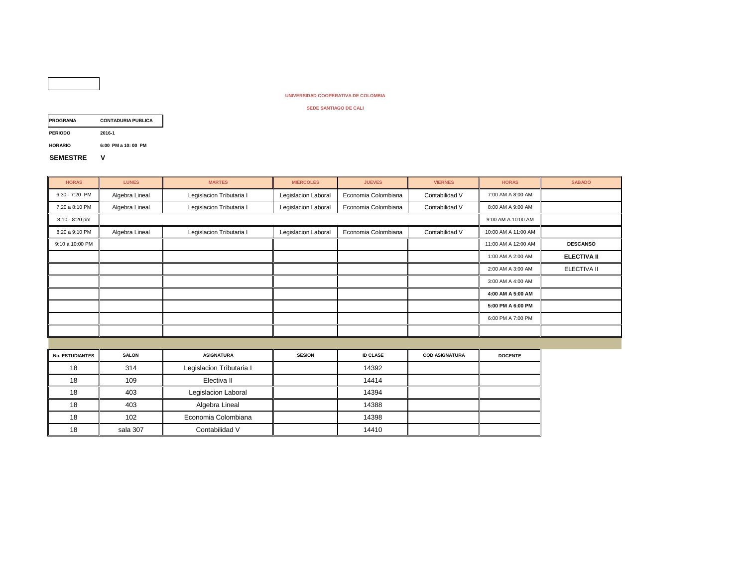**SEDE SANTIAGO DE CALI**

| PROGRAMA       | <b>CONTADURIA PUBLICA</b> |
|----------------|---------------------------|
| <b>PERIODO</b> | 2016-1                    |
| <b>HORARIO</b> | 6:00 PM a 10:00 PM        |

**SEMESTRE V**

| <b>HORAS</b>           | <b>LUNES</b>   | <b>MARTES</b>            | <b>MIERCOLES</b>    | <b>JUEVES</b>       | <b>VIERNES</b>        | <b>HORAS</b>        | <b>SABADO</b>      |
|------------------------|----------------|--------------------------|---------------------|---------------------|-----------------------|---------------------|--------------------|
| 6:30 - 7:20 PM         | Algebra Lineal | Legislacion Tributaria I | Legislacion Laboral | Economia Colombiana | Contabilidad V        | 7:00 AM A 8:00 AM   |                    |
| 7:20 a 8:10 PM         | Algebra Lineal | Legislacion Tributaria I | Legislacion Laboral | Economia Colombiana | Contabilidad V        | 8:00 AM A 9:00 AM   |                    |
| 8:10 - 8:20 pm         |                |                          |                     |                     |                       | 9:00 AM A 10:00 AM  |                    |
| 8:20 a 9:10 PM         | Algebra Lineal | Legislacion Tributaria I | Legislacion Laboral | Economia Colombiana | Contabilidad V        | 10:00 AM A 11:00 AM |                    |
| 9:10 a 10:00 PM        |                |                          |                     |                     |                       | 11:00 AM A 12:00 AM | <b>DESCANSO</b>    |
|                        |                |                          |                     |                     |                       | 1:00 AM A 2:00 AM   | <b>ELECTIVA II</b> |
|                        |                |                          |                     |                     |                       | 2:00 AM A 3:00 AM   | ELECTIVA II        |
|                        |                |                          |                     |                     |                       | 3:00 AM A 4:00 AM   |                    |
|                        |                |                          |                     |                     |                       | 4:00 AM A 5:00 AM   |                    |
|                        |                |                          |                     |                     |                       | 5:00 PM A 6:00 PM   |                    |
|                        |                |                          |                     |                     |                       | 6:00 PM A 7:00 PM   |                    |
|                        |                |                          |                     |                     |                       |                     |                    |
|                        |                |                          |                     |                     |                       |                     |                    |
| <b>No. ESTUDIANTES</b> | <b>SALON</b>   | <b>ASIGNATURA</b>        | <b>SESION</b>       | <b>ID CLASE</b>     | <b>COD ASIGNATURA</b> | <b>DOCENTE</b>      |                    |
| 18                     | 314            | Legislacion Tributaria I |                     | 14392               |                       |                     |                    |
| 18                     | 109            | Electiva II              |                     | 14414               |                       |                     |                    |
| 18                     | 403            | Legislacion Laboral      |                     | 14394               |                       |                     |                    |
| 18                     | 403            | Algebra Lineal           |                     | 14388               |                       |                     |                    |
| 18                     | 102            | Economia Colombiana      |                     | 14398               |                       |                     |                    |

18 | sala 307 | Contabilidad V | 14410

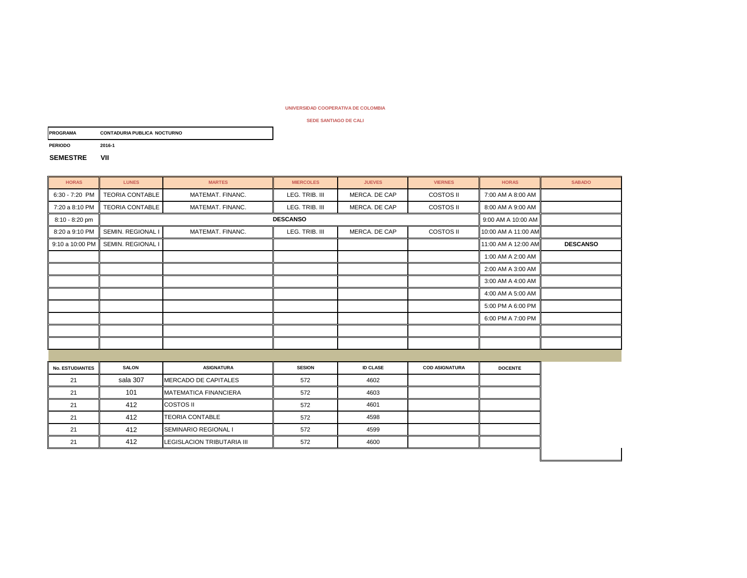**SEDE SANTIAGO DE CALI**

| <b>PROGRAMA</b> | <b>CONTADURIA PUBLICA NOCTURNO</b> |
|-----------------|------------------------------------|
| <b>PERIODO</b>  | 2016-1                             |

**SEMESTRE VII**

| <b>HORAS</b>           | <b>LUNES</b>      | <b>MARTES</b>              | <b>MIERCOLES</b> | <b>JUEVES</b>   | <b>VIERNES</b>        | <b>HORAS</b>        | <b>SABADO</b>   |
|------------------------|-------------------|----------------------------|------------------|-----------------|-----------------------|---------------------|-----------------|
| 6:30 - 7:20 PM         | TEORIA CONTABLE   | MATEMAT. FINANC.           | LEG. TRIB. III   | MERCA. DE CAP   | <b>COSTOS II</b>      | 7:00 AM A 8:00 AM   |                 |
| 7:20 a 8:10 PM         | TEORIA CONTABLE   | MATEMAT. FINANC.           | LEG. TRIB. III   | MERCA. DE CAP   | <b>COSTOS II</b>      | 8:00 AM A 9:00 AM   |                 |
| 8:10 - 8:20 pm         |                   |                            | <b>DESCANSO</b>  |                 |                       | 9:00 AM A 10:00 AM  |                 |
| 8:20 a 9:10 PM         | SEMIN. REGIONAL I | MATEMAT. FINANC.           | LEG. TRIB. III   | MERCA. DE CAP   | <b>COSTOS II</b>      | 10:00 AM A 11:00 AM |                 |
| 9:10 a 10:00 PM        | SEMIN. REGIONAL I |                            |                  |                 |                       | 11:00 AM A 12:00 AM | <b>DESCANSO</b> |
|                        |                   |                            |                  |                 |                       | 1:00 AM A 2:00 AM   |                 |
|                        |                   |                            |                  |                 |                       | 2:00 AM A 3:00 AM   |                 |
|                        |                   |                            |                  |                 |                       | 3:00 AM A 4:00 AM   |                 |
|                        |                   |                            |                  |                 |                       | 4:00 AM A 5:00 AM   |                 |
|                        |                   |                            |                  |                 |                       | 5:00 PM A 6:00 PM   |                 |
|                        |                   |                            |                  |                 |                       | 6:00 PM A 7:00 PM   |                 |
|                        |                   |                            |                  |                 |                       |                     |                 |
|                        |                   |                            |                  |                 |                       |                     |                 |
|                        |                   |                            |                  |                 |                       |                     |                 |
| <b>No. ESTUDIANTES</b> | <b>SALON</b>      | <b>ASIGNATURA</b>          | <b>SESION</b>    | <b>ID CLASE</b> | <b>COD ASIGNATURA</b> | <b>DOCENTE</b>      |                 |
| 21                     | sala 307          | MERCADO DE CAPITALES       | 572              | 4602            |                       |                     |                 |
| 21                     | 101               | MATEMATICA FINANCIERA      | 572              | 4603            |                       |                     |                 |
| 21                     | 412               | <b>COSTOS II</b>           | 572              | 4601            |                       |                     |                 |
| 21                     | 412               | <b>TEORIA CONTABLE</b>     | 572              | 4598            |                       |                     |                 |
| 21                     | 412               | SEMINARIO REGIONAL I       | 572              | 4599            |                       |                     |                 |
| 21                     | 412               | LEGISLACION TRIBUTARIA III | 572              | 4600            |                       |                     |                 |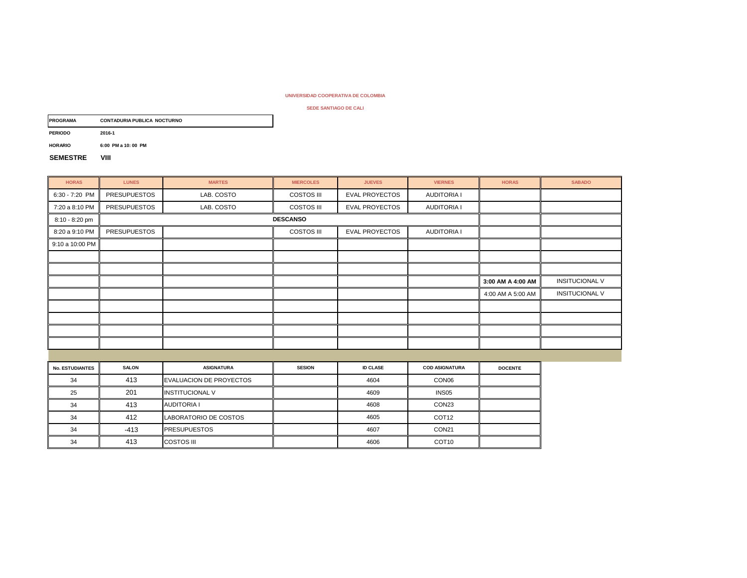**SEDE SANTIAGO DE CALI**

| <b>PROGRAMA</b> | <b>CONTADURIA PUBLICA NOCTURNO</b> |
|-----------------|------------------------------------|
| <b>PERIODO</b>  | 2016-1                             |

**HORARIO 6:00 PM a 10: 00 PM**

**SEMESTRE VIII**

| <b>HORAS</b>           | <b>LUNES</b>        | <b>MARTES</b>                  | <b>MIERCOLES</b>  | <b>JUEVES</b>         | <b>VIERNES</b>        | <b>HORAS</b>      | <b>SABADO</b>         |
|------------------------|---------------------|--------------------------------|-------------------|-----------------------|-----------------------|-------------------|-----------------------|
| 6:30 - 7:20 PM         | <b>PRESUPUESTOS</b> | LAB. COSTO                     | <b>COSTOS III</b> | <b>EVAL PROYECTOS</b> | <b>AUDITORIA I</b>    |                   |                       |
| 7:20 a 8:10 PM         | <b>PRESUPUESTOS</b> | LAB. COSTO                     | COSTOS III        | EVAL PROYECTOS        | <b>AUDITORIA I</b>    |                   |                       |
| 8:10 - 8:20 pm         |                     |                                | <b>DESCANSO</b>   |                       |                       |                   |                       |
| 8:20 a 9:10 PM         | <b>PRESUPUESTOS</b> |                                | <b>COSTOS III</b> | <b>EVAL PROYECTOS</b> | <b>AUDITORIA I</b>    |                   |                       |
| 9:10 a 10:00 PM        |                     |                                |                   |                       |                       |                   |                       |
|                        |                     |                                |                   |                       |                       |                   |                       |
|                        |                     |                                |                   |                       |                       |                   |                       |
|                        |                     |                                |                   |                       |                       | 3:00 AM A 4:00 AM | <b>INSITUCIONAL V</b> |
|                        |                     |                                |                   |                       |                       | 4:00 AM A 5:00 AM | <b>INSITUCIONAL V</b> |
|                        |                     |                                |                   |                       |                       |                   |                       |
|                        |                     |                                |                   |                       |                       |                   |                       |
|                        |                     |                                |                   |                       |                       |                   |                       |
|                        |                     |                                |                   |                       |                       |                   |                       |
|                        |                     |                                |                   |                       |                       |                   |                       |
| <b>No. ESTUDIANTES</b> | <b>SALON</b>        | <b>ASIGNATURA</b>              | <b>SESION</b>     | <b>ID CLASE</b>       | <b>COD ASIGNATURA</b> | <b>DOCENTE</b>    |                       |
| 34                     | 413                 | <b>EVALUACION DE PROYECTOS</b> |                   | 4604                  | CON <sub>06</sub>     |                   |                       |
| 25                     | 201                 | <b>INSTITUCIONAL V</b>         |                   | 4609                  | <b>INS05</b>          |                   |                       |
| 34                     | 413                 | <b>AUDITORIA I</b>             |                   | 4608                  | CON <sub>23</sub>     |                   |                       |
| 34                     | 412                 | LABORATORIO DE COSTOS          |                   | 4605                  | COT <sub>12</sub>     |                   |                       |
| 34                     | $-413$              | <b>PRESUPUESTOS</b>            |                   | 4607                  | CON21                 |                   |                       |
| 34                     | 413                 | <b>COSTOS III</b>              |                   | 4606                  | COT <sub>10</sub>     |                   |                       |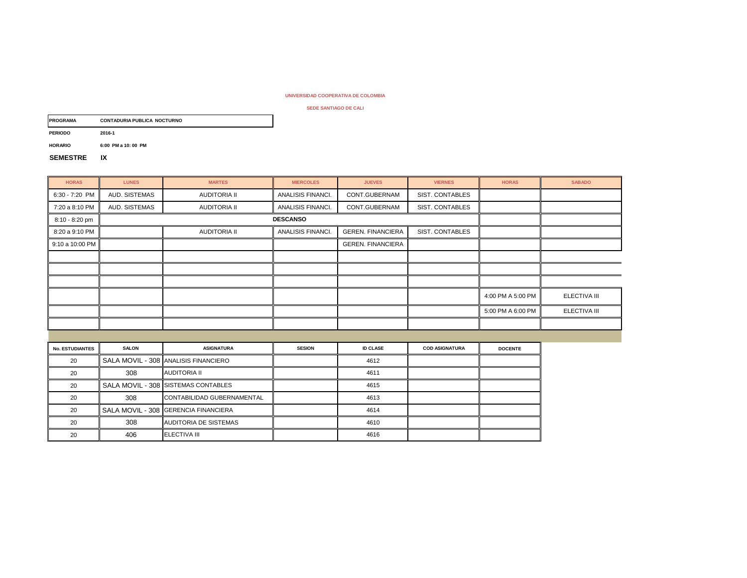**SEDE SANTIAGO DE CALI**

| <b>PROGRAMA</b> | <b>CONTADURIA PUBLICA NOCTURNO</b> |
|-----------------|------------------------------------|
| <b>PERIODO</b>  | 2016-1                             |

| <b>PROGRAMA</b> | <b>CONTADURIA PUBLICA NOCTURNO</b> |  |
|-----------------|------------------------------------|--|
|-----------------|------------------------------------|--|

| <b>PROGRAMA</b> |  | <b>CONTADURIA PUBLICA NOCTURNO</b> |  |
|-----------------|--|------------------------------------|--|
|-----------------|--|------------------------------------|--|

| <b>PROGRAMA</b> | <b>CONTADURIA PUBLICA NOCTURNO</b> |
|-----------------|------------------------------------|
|                 |                                    |

| 6:00 PM a 10:00 PM<br><b>HORARIO</b> |
|--------------------------------------|

| <b>SEMESTRE</b> | IX |
|-----------------|----|
|-----------------|----|

| <b>HORAS</b>           | <b>LUNES</b>  | <b>MARTES</b>                        | <b>MIERCOLES</b>  | <b>JUEVES</b>            | <b>VIERNES</b>        | <b>HORAS</b>      | <b>SABADO</b> |
|------------------------|---------------|--------------------------------------|-------------------|--------------------------|-----------------------|-------------------|---------------|
| 6:30 - 7:20 PM         | AUD. SISTEMAS | <b>AUDITORIA II</b>                  | ANALISIS FINANCI. | CONT.GUBERNAM            | SIST. CONTABLES       |                   |               |
| 7:20 a 8:10 PM         | AUD. SISTEMAS | <b>AUDITORIA II</b>                  | ANALISIS FINANCI. | CONT.GUBERNAM            | SIST. CONTABLES       |                   |               |
| 8:10 - 8:20 pm         |               |                                      | <b>DESCANSO</b>   |                          |                       |                   |               |
| 8:20 a 9:10 PM         |               | <b>AUDITORIA II</b>                  | ANALISIS FINANCI. | <b>GEREN, FINANCIERA</b> | SIST. CONTABLES       |                   |               |
| 9:10 a 10:00 PM        |               |                                      |                   | <b>GEREN. FINANCIERA</b> |                       |                   |               |
|                        |               |                                      |                   |                          |                       |                   |               |
|                        |               |                                      |                   |                          |                       |                   |               |
|                        |               |                                      |                   |                          |                       |                   |               |
|                        |               |                                      |                   |                          |                       | 4:00 PM A 5:00 PM | ELECTIVA III  |
|                        |               |                                      |                   |                          |                       | 5:00 PM A 6:00 PM | ELECTIVA III  |
|                        |               |                                      |                   |                          |                       |                   |               |
|                        |               |                                      |                   |                          |                       |                   |               |
| <b>No. ESTUDIANTES</b> | <b>SALON</b>  | <b>ASIGNATURA</b>                    | <b>SESION</b>     | <b>ID CLASE</b>          | <b>COD ASIGNATURA</b> | <b>DOCENTE</b>    |               |
| 20                     |               | SALA MOVIL - 308 ANALISIS FINANCIERO |                   | 4612                     |                       |                   |               |
| 20                     | 308           | <b>AUDITORIA II</b>                  |                   | 4611                     |                       |                   |               |
| 20                     |               | SALA MOVIL - 308 SISTEMAS CONTABLES  |                   | 4615                     |                       |                   |               |
| 20                     | 308           | CONTABILIDAD GUBERNAMENTAL           |                   | 4613                     |                       |                   |               |
| 20                     |               | SALA MOVIL - 308 GERENCIA FINANCIERA |                   | 4614                     |                       |                   |               |
| 20                     | 308           | AUDITORIA DE SISTEMAS                |                   | 4610                     |                       |                   |               |
| 20                     | 406           | <b>ELECTIVA III</b>                  |                   | 4616                     |                       |                   |               |